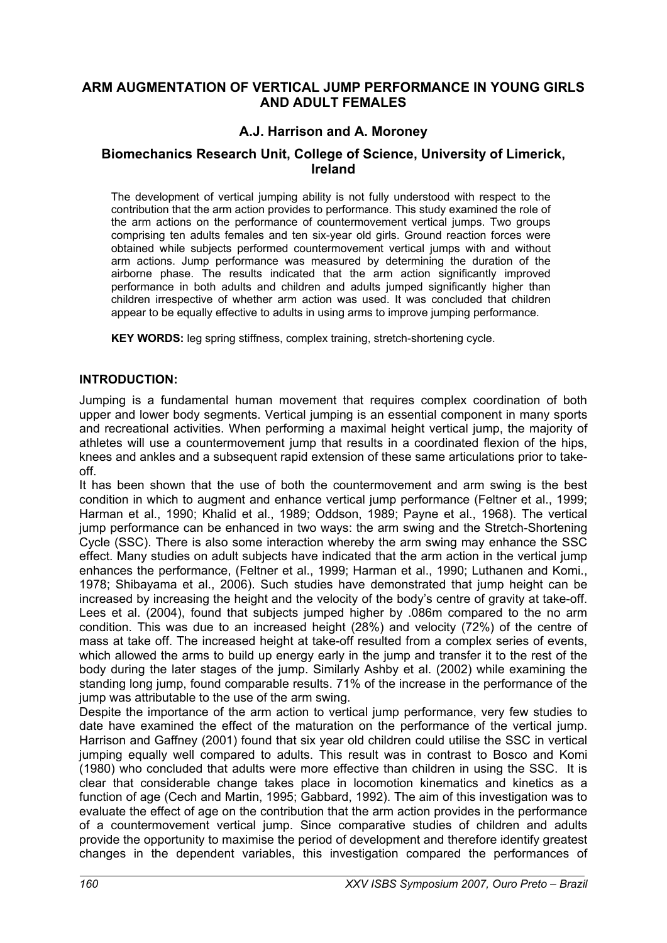# **ARM AUGMENTATION OF VERTICAL JUMP PERFORMANCE IN YOUNG GIRLS AND ADULT FEMALES**

# **A.J. Harrison and A. Moroney**

### **Biomechanics Research Unit, College of Science, University of Limerick, Ireland**

The development of vertical jumping ability is not fully understood with respect to the contribution that the arm action provides to performance. This study examined the role of the arm actions on the performance of countermovement vertical jumps. Two groups comprising ten adults females and ten six-year old girls. Ground reaction forces were obtained while subjects performed countermovement vertical jumps with and without arm actions. Jump performance was measured by determining the duration of the airborne phase. The results indicated that the arm action significantly improved performance in both adults and children and adults jumped significantly higher than children irrespective of whether arm action was used. It was concluded that children appear to be equally effective to adults in using arms to improve jumping performance.

**KEY WORDS:** leg spring stiffness, complex training, stretch-shortening cycle.

#### **INTRODUCTION:**

Jumping is a fundamental human movement that requires complex coordination of both upper and lower body segments. Vertical jumping is an essential component in many sports and recreational activities. When performing a maximal height vertical jump, the majority of athletes will use a countermovement jump that results in a coordinated flexion of the hips, knees and ankles and a subsequent rapid extension of these same articulations prior to takeoff.

It has been shown that the use of both the countermovement and arm swing is the best condition in which to augment and enhance vertical jump performance (Feltner et al., 1999; Harman et al., 1990; Khalid et al., 1989; Oddson, 1989; Payne et al., 1968). The vertical jump performance can be enhanced in two ways: the arm swing and the Stretch-Shortening Cycle (SSC). There is also some interaction whereby the arm swing may enhance the SSC effect. Many studies on adult subjects have indicated that the arm action in the vertical jump enhances the performance, (Feltner et al., 1999; Harman et al., 1990; Luthanen and Komi., 1978; Shibayama et al., 2006). Such studies have demonstrated that jump height can be increased by increasing the height and the velocity of the body's centre of gravity at take-off. Lees et al. (2004), found that subjects jumped higher by .086m compared to the no arm condition. This was due to an increased height (28%) and velocity (72%) of the centre of mass at take off. The increased height at take-off resulted from a complex series of events, which allowed the arms to build up energy early in the jump and transfer it to the rest of the body during the later stages of the jump. Similarly Ashby et al. (2002) while examining the standing long jump, found comparable results. 71% of the increase in the performance of the jump was attributable to the use of the arm swing.

Despite the importance of the arm action to vertical jump performance, very few studies to date have examined the effect of the maturation on the performance of the vertical jump. Harrison and Gaffney (2001) found that six year old children could utilise the SSC in vertical jumping equally well compared to adults. This result was in contrast to Bosco and Komi (1980) who concluded that adults were more effective than children in using the SSC. It is clear that considerable change takes place in locomotion kinematics and kinetics as a function of age (Cech and Martin, 1995; Gabbard, 1992). The aim of this investigation was to evaluate the effect of age on the contribution that the arm action provides in the performance of a countermovement vertical jump. Since comparative studies of children and adults provide the opportunity to maximise the period of development and therefore identify greatest changes in the dependent variables, this investigation compared the performances of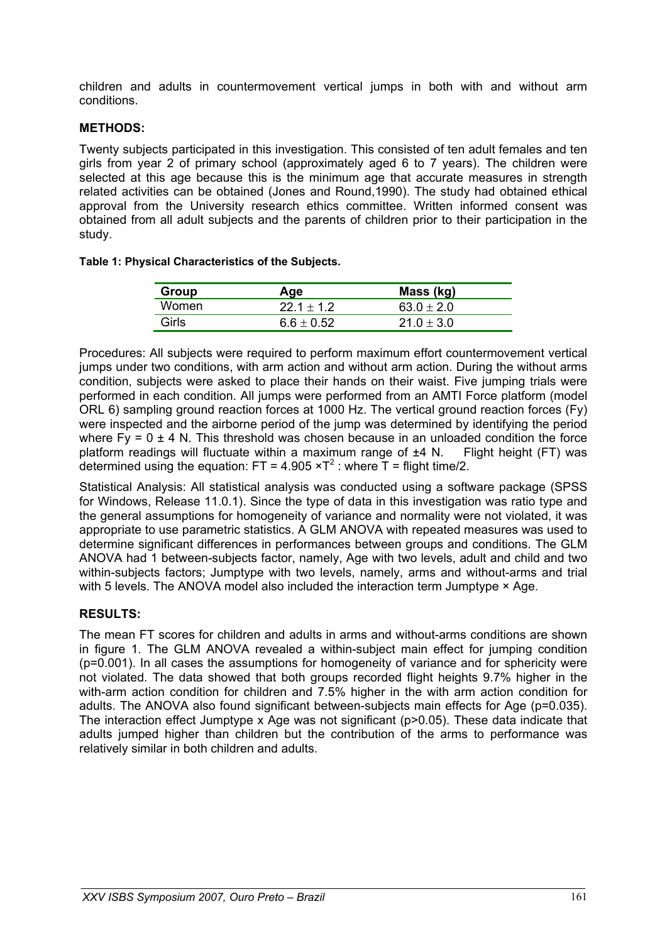children and adults in countermovement vertical jumps in both with and without arm conditions.

#### **METHODS:**

Twenty subjects participated in this investigation. This consisted of ten adult females and ten girls from year 2 of primary school (approximately aged 6 to 7 years). The children were selected at this age because this is the minimum age that accurate measures in strength related activities can be obtained (Jones and Round,1990). The study had obtained ethical approval from the University research ethics committee. Written informed consent was obtained from all adult subjects and the parents of children prior to their participation in the study.

| Table 1: Physical Characteristics of the Subjects. |
|----------------------------------------------------|
|----------------------------------------------------|

| Group | Age          | Mass (kg)      |
|-------|--------------|----------------|
| Women | $221 + 12$   | $63.0 + 2.0$   |
| Girls | $6.6 + 0.52$ | $21.0 \pm 3.0$ |

Procedures: All subjects were required to perform maximum effort countermovement vertical jumps under two conditions, with arm action and without arm action. During the without arms condition, subjects were asked to place their hands on their waist. Five jumping trials were performed in each condition. All jumps were performed from an AMTI Force platform (model ORL 6) sampling ground reaction forces at 1000 Hz. The vertical ground reaction forces (Fy) were inspected and the airborne period of the jump was determined by identifying the period where  $Fy = 0 \pm 4$  N. This threshold was chosen because in an unloaded condition the force platform readings will fluctuate within a maximum range of  $±4$  N. Flight height (FT) was determined using the equation: FT = 4.905  $\times$ T<sup>2</sup> : where T = flight time/2.

Statistical Analysis: All statistical analysis was conducted using a software package (SPSS for Windows, Release 11.0.1). Since the type of data in this investigation was ratio type and the general assumptions for homogeneity of variance and normality were not violated, it was appropriate to use parametric statistics. A GLM ANOVA with repeated measures was used to determine significant differences in performances between groups and conditions. The GLM ANOVA had 1 between-subjects factor, namely, Age with two levels, adult and child and two within-subjects factors; Jumptype with two levels, namely, arms and without-arms and trial with 5 levels. The ANOVA model also included the interaction term Jumptype  $\times$  Age.

#### **RESULTS:**

The mean FT scores for children and adults in arms and without-arms conditions are shown in figure 1. The GLM ANOVA revealed a within-subject main effect for jumping condition (p=0.001). In all cases the assumptions for homogeneity of variance and for sphericity were not violated. The data showed that both groups recorded flight heights 9.7% higher in the with-arm action condition for children and 7.5% higher in the with arm action condition for adults. The ANOVA also found significant between-subjects main effects for Age (p=0.035). The interaction effect Jumptype x Age was not significant (p>0.05). These data indicate that adults jumped higher than children but the contribution of the arms to performance was relatively similar in both children and adults.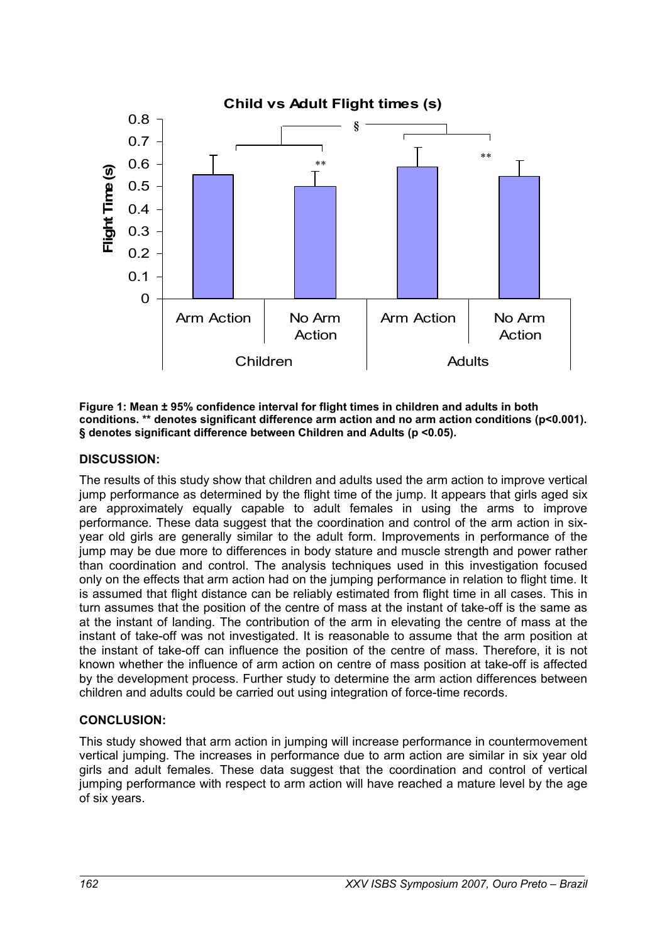

**Figure 1: Mean ± 95% confidence interval for flight times in children and adults in both conditions. \*\* denotes significant difference arm action and no arm action conditions (p<0.001). § denotes significant difference between Children and Adults (p <0.05).** 

### **DISCUSSION:**

The results of this study show that children and adults used the arm action to improve vertical jump performance as determined by the flight time of the jump. It appears that girls aged six are approximately equally capable to adult females in using the arms to improve performance. These data suggest that the coordination and control of the arm action in sixyear old girls are generally similar to the adult form. Improvements in performance of the jump may be due more to differences in body stature and muscle strength and power rather than coordination and control. The analysis techniques used in this investigation focused only on the effects that arm action had on the jumping performance in relation to flight time. It is assumed that flight distance can be reliably estimated from flight time in all cases. This in turn assumes that the position of the centre of mass at the instant of take-off is the same as at the instant of landing. The contribution of the arm in elevating the centre of mass at the instant of take-off was not investigated. It is reasonable to assume that the arm position at the instant of take-off can influence the position of the centre of mass. Therefore, it is not known whether the influence of arm action on centre of mass position at take-off is affected by the development process. Further study to determine the arm action differences between children and adults could be carried out using integration of force-time records.

# **CONCLUSION:**

This study showed that arm action in jumping will increase performance in countermovement vertical jumping. The increases in performance due to arm action are similar in six year old girls and adult females. These data suggest that the coordination and control of vertical jumping performance with respect to arm action will have reached a mature level by the age of six years.